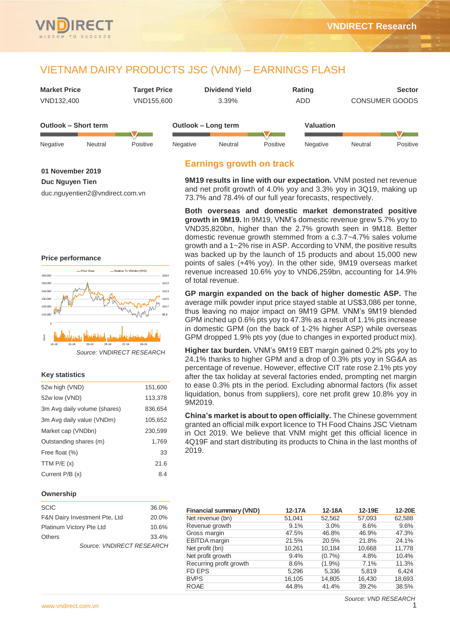

| <b>Market Price</b>  | <b>Target Price</b> | <b>Dividend Yield</b> | Rating    | <b>Sector</b>         |
|----------------------|---------------------|-----------------------|-----------|-----------------------|
| VND132,400           | VND155.600          | $3.39\%$              | ADD       | <b>CONSUMER GOODS</b> |
| Outlook – Short term |                     | Outlook – Long term   | Valuation |                       |

| Negative | Neutral | Positive | Negative | Neutral | Positive | Negative | Neutral | Positive |
|----------|---------|----------|----------|---------|----------|----------|---------|----------|

## **01 November 2019**

**Duc Nguyen Tien**

duc.nguyentien2@vndirect.com.vn

# **Price performance**



# **Key statistics**

| 52w high (VND)               | 151,600 |
|------------------------------|---------|
| 52w low (VND)                | 113,378 |
| 3m Avg daily volume (shares) | 836,654 |
| 3m Avg daily value (VNDm)    | 105,652 |
| Market cap (VNDbn)           | 230,599 |
| Outstanding shares (m)       | 1,769   |
| Free float (%)               | 33      |
| TTM $P/E(x)$                 | 21.6    |
| Current P/B (x)              | 8.4     |

# **Ownership**

| <b>SCIC</b>                   | 36.0% |
|-------------------------------|-------|
| F&N Dairy Investment Pte, Ltd | 20.0% |
| Platinum Victory Pte Ltd      | 10.6% |
| <b>Others</b>                 | 33.4% |
| Source: VNDIRECT RESEARCH     |       |

# **Earnings growth on track**

**9M19 results in line with our expectation.** VNM posted net revenue and net profit growth of 4.0% yoy and 3.3% yoy in 3Q19, making up 73.7% and 78.4% of our full year forecasts, respectively.

**Both overseas and domestic market demonstrated positive growth in 9M19.** In 9M19, VNM's domestic revenue grew 5.7% yoy to VND35,820bn, higher than the 2.7% growth seen in 9M18. Better domestic revenue growth stemmed from a c.3.7~4.7% sales volume growth and a 1~2% rise in ASP. According to VNM, the positive results was backed up by the launch of 15 products and about 15,000 new points of sales (+4% yoy). In the other side, 9M19 overseas market revenue increased 10.6% yoy to VND6,259bn, accounting for 14.9% of total revenue.

**GP margin expanded on the back of higher domestic ASP.** The average milk powder input price stayed stable at US\$3,086 per tonne, thus leaving no major impact on 9M19 GPM. VNM's 9M19 blended GPM inched up 0.6% pts yoy to 47.3% as a result of 1.1% pts increase in domestic GPM (on the back of 1-2% higher ASP) while overseas GPM dropped 1.9% pts yoy (due to changes in exported product mix).

**Higher tax burden.** VNM's 9M19 EBT margin gained 0.2% pts yoy to 24.1% thanks to higher GPM and a drop of 0.3% pts yoy in SG&A as percentage of revenue. However, effective CIT rate rose 2.1% pts yoy after the tax holiday at several factories ended, prompting net margin to ease 0.3% pts in the period. Excluding abnormal factors (fix asset liquidation, bonus from suppliers), core net profit grew 10.8% yoy in 9M2019.

**China's market is about to open officially.** The Chinese government granted an official milk export licence to TH Food Chains JSC Vietnam in Oct 2019. We believe that VNM might get this official licence in 4Q19F and start distributing its products to China in the last months of 2019.

| $12-17A$ | 12-18A    | 12-19E | 12-20E |
|----------|-----------|--------|--------|
| 51.041   | 52.562    | 57,093 | 62,588 |
| 9.1%     | 3.0%      | 8.6%   | 9.6%   |
| 47.5%    | 46.8%     | 46.9%  | 47.3%  |
| 21.5%    | 20.5%     | 21.8%  | 24.1%  |
| 10,261   | 10,184    | 10.668 | 11,778 |
| 9.4%     | (0.7%     | 4.8%   | 10.4%  |
| 8.6%     | $(1.9\%)$ | 7.1%   | 11.3%  |
| 5.296    | 5.336     | 5.819  | 6.424  |
| 16,105   | 14,805    | 16,430 | 18,693 |
| 44.8%    | 41.4%     | 39.2%  | 38.5%  |
|          |           |        |        |

*Source: VND RESEARCH*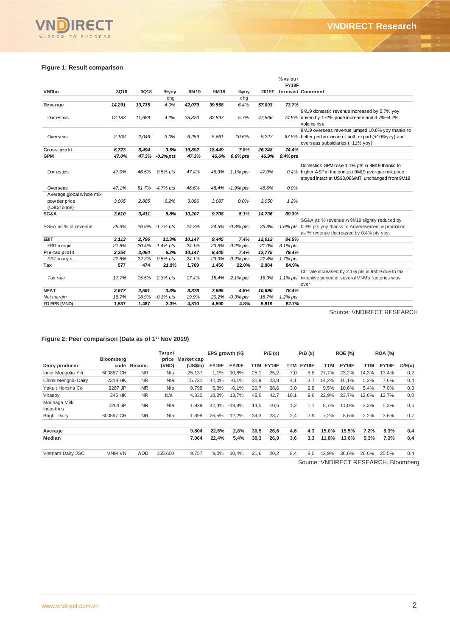# **Figure 1: Result comparison**

VNDIRECT

| FY19F<br><b>VNDbn</b><br>3Q19<br>3Q18<br>9M19<br>9M18<br>2019F<br>forecast Comment<br>$\%$ yoy<br>%yov<br>chg<br>chg<br>73.7%<br>14,291<br>13,735<br>4.0%<br>42,079<br>39,558<br>57,093<br>6.4%<br><b>Revenue</b><br>9M19 domestic revenue increased by 5.7% yoy<br>11,689<br>4.2%<br>35,820<br>33,897<br>5.7%<br>47,866<br>12,183<br>74.8% driven by 1~2% price increase and 3.7%~4.7%<br>Domestics<br>volume rise.<br>9M19 overseas revenue jumped 10.6% yoy thanks to<br>2.108<br>2,046<br>3.0%<br>6,259<br>5,661<br>10.6%<br>9,227<br>67.8% better performance of both export (+10%yoy) and<br>Overseas<br>overseas subsidiaries (+11% yoy)<br>19,892<br>74.4%<br>6,723<br>6,494<br>3.5%<br>18,449<br>7.8%<br>26,748<br>Gross profit<br><b>GPM</b><br>47.0%<br>47.3% -0.2% pts<br>47.3%<br>46.6%<br>$0.6%$ pts<br>46.9%<br>$0.4\%$ pts<br>Domestics GPM rose 1.1% pts in 9M19 thanks to<br>0.4% higher ASP in the context 9M19 average milk price<br>Domestics<br>47.0%<br>47.4%<br>46.3%<br>47.0%<br>46.5%<br>$0.5%$ pts<br>1.1% pts<br>stayed intact at US\$3,086/MT, unchanged from 9M18<br>47.1%<br>51.7%<br>$-4.7%$ pts<br>46.6%<br>48.4%<br>$-1.9%$ pts<br>46.6%<br>0.0%<br>Overseas<br>Average global whole milk<br>6.2%<br>pow der price<br>3.065<br>2,885<br>3,086<br>3,087<br>0.0%<br>3,050<br>1.2%<br>(USD/Tonne)<br>3,610<br>3,411<br>5.8%<br>10,207<br>9,708<br>5.1%<br>14,736<br>69.3%<br>SG&A<br>SG&A as % revenue in 9M19 slightly reduced by<br>SG&A as % of revenue<br>25.3%<br>24.3%<br>26.9% - 1.7% pts<br>24.5% -0.3% pts<br>-1.6% pts 0.3% pts yoy thanks to Advertisement & promotion<br>25.8%<br>as % revenue decreased by 0.4% pts yoy.<br>11.3%<br>84.5%<br><b>EBIT</b><br>2,796<br>10,147<br>9,445<br>7.4%<br>12,012<br>3,113<br>21.8%<br>EBIT margin<br>20.4%<br>24.1%<br>23.9%<br>$0.2\%$ pts<br>21.0%<br>3.1% pts<br>1.4% pts<br>6.2%<br>12,775<br>79.4%<br>Pre-tax profit<br>3,254<br>3,064<br>10,147<br>9,445<br>7.4%<br>22.8%<br>23.9%<br>$0.2\%$ pts<br>22.4%<br>1.7% pts<br>EBT margin<br>22.3%<br>$0.5%$ pts<br>24.1%<br>577<br>474<br>21.9%<br>1,450<br>2,084<br>84.9%<br>Tax<br>1,769<br>22.0%<br>CIT rate increased by 2.1% pts in 9M19 due to tax<br>17.7%<br>1.1% pts incentive period of several VNM's factories w as<br>Tax rate<br>15.5%<br>2.3% pts<br>17.4%<br>15.4%<br>2.1% pts<br>16.3%<br>over<br>78.4%<br><b>NPAT</b><br>2,677<br>2,591<br>3.3%<br>8,378<br>7,995<br>4.8%<br>10,690<br>18.7%<br>20.2%<br>$-0.3%$ pts<br>18.9%<br>$-0.1\%$ pts<br>19.9%<br>18.7%<br>1.2% pts<br>Net margin<br>FD EPS (VND)<br>1,537<br>1,487<br>3.3%<br>4,810<br>4,590<br>4.8%<br>5,819<br>82.7% |  |  |  |  | % vs our |  |
|---------------------------------------------------------------------------------------------------------------------------------------------------------------------------------------------------------------------------------------------------------------------------------------------------------------------------------------------------------------------------------------------------------------------------------------------------------------------------------------------------------------------------------------------------------------------------------------------------------------------------------------------------------------------------------------------------------------------------------------------------------------------------------------------------------------------------------------------------------------------------------------------------------------------------------------------------------------------------------------------------------------------------------------------------------------------------------------------------------------------------------------------------------------------------------------------------------------------------------------------------------------------------------------------------------------------------------------------------------------------------------------------------------------------------------------------------------------------------------------------------------------------------------------------------------------------------------------------------------------------------------------------------------------------------------------------------------------------------------------------------------------------------------------------------------------------------------------------------------------------------------------------------------------------------------------------------------------------------------------------------------------------------------------------------------------------------------------------------------------------------------------------------------------------------------------------------------------------------------------------------------------------------------------------------------------------------------------------------------------------------------------------------------------------------------------------------------------------------------------------------------------------------------------------------------------------------------------------------------------------------------------|--|--|--|--|----------|--|
|                                                                                                                                                                                                                                                                                                                                                                                                                                                                                                                                                                                                                                                                                                                                                                                                                                                                                                                                                                                                                                                                                                                                                                                                                                                                                                                                                                                                                                                                                                                                                                                                                                                                                                                                                                                                                                                                                                                                                                                                                                                                                                                                                                                                                                                                                                                                                                                                                                                                                                                                                                                                                                       |  |  |  |  |          |  |
|                                                                                                                                                                                                                                                                                                                                                                                                                                                                                                                                                                                                                                                                                                                                                                                                                                                                                                                                                                                                                                                                                                                                                                                                                                                                                                                                                                                                                                                                                                                                                                                                                                                                                                                                                                                                                                                                                                                                                                                                                                                                                                                                                                                                                                                                                                                                                                                                                                                                                                                                                                                                                                       |  |  |  |  |          |  |
|                                                                                                                                                                                                                                                                                                                                                                                                                                                                                                                                                                                                                                                                                                                                                                                                                                                                                                                                                                                                                                                                                                                                                                                                                                                                                                                                                                                                                                                                                                                                                                                                                                                                                                                                                                                                                                                                                                                                                                                                                                                                                                                                                                                                                                                                                                                                                                                                                                                                                                                                                                                                                                       |  |  |  |  |          |  |
|                                                                                                                                                                                                                                                                                                                                                                                                                                                                                                                                                                                                                                                                                                                                                                                                                                                                                                                                                                                                                                                                                                                                                                                                                                                                                                                                                                                                                                                                                                                                                                                                                                                                                                                                                                                                                                                                                                                                                                                                                                                                                                                                                                                                                                                                                                                                                                                                                                                                                                                                                                                                                                       |  |  |  |  |          |  |
|                                                                                                                                                                                                                                                                                                                                                                                                                                                                                                                                                                                                                                                                                                                                                                                                                                                                                                                                                                                                                                                                                                                                                                                                                                                                                                                                                                                                                                                                                                                                                                                                                                                                                                                                                                                                                                                                                                                                                                                                                                                                                                                                                                                                                                                                                                                                                                                                                                                                                                                                                                                                                                       |  |  |  |  |          |  |
|                                                                                                                                                                                                                                                                                                                                                                                                                                                                                                                                                                                                                                                                                                                                                                                                                                                                                                                                                                                                                                                                                                                                                                                                                                                                                                                                                                                                                                                                                                                                                                                                                                                                                                                                                                                                                                                                                                                                                                                                                                                                                                                                                                                                                                                                                                                                                                                                                                                                                                                                                                                                                                       |  |  |  |  |          |  |
|                                                                                                                                                                                                                                                                                                                                                                                                                                                                                                                                                                                                                                                                                                                                                                                                                                                                                                                                                                                                                                                                                                                                                                                                                                                                                                                                                                                                                                                                                                                                                                                                                                                                                                                                                                                                                                                                                                                                                                                                                                                                                                                                                                                                                                                                                                                                                                                                                                                                                                                                                                                                                                       |  |  |  |  |          |  |
|                                                                                                                                                                                                                                                                                                                                                                                                                                                                                                                                                                                                                                                                                                                                                                                                                                                                                                                                                                                                                                                                                                                                                                                                                                                                                                                                                                                                                                                                                                                                                                                                                                                                                                                                                                                                                                                                                                                                                                                                                                                                                                                                                                                                                                                                                                                                                                                                                                                                                                                                                                                                                                       |  |  |  |  |          |  |
|                                                                                                                                                                                                                                                                                                                                                                                                                                                                                                                                                                                                                                                                                                                                                                                                                                                                                                                                                                                                                                                                                                                                                                                                                                                                                                                                                                                                                                                                                                                                                                                                                                                                                                                                                                                                                                                                                                                                                                                                                                                                                                                                                                                                                                                                                                                                                                                                                                                                                                                                                                                                                                       |  |  |  |  |          |  |
|                                                                                                                                                                                                                                                                                                                                                                                                                                                                                                                                                                                                                                                                                                                                                                                                                                                                                                                                                                                                                                                                                                                                                                                                                                                                                                                                                                                                                                                                                                                                                                                                                                                                                                                                                                                                                                                                                                                                                                                                                                                                                                                                                                                                                                                                                                                                                                                                                                                                                                                                                                                                                                       |  |  |  |  |          |  |
|                                                                                                                                                                                                                                                                                                                                                                                                                                                                                                                                                                                                                                                                                                                                                                                                                                                                                                                                                                                                                                                                                                                                                                                                                                                                                                                                                                                                                                                                                                                                                                                                                                                                                                                                                                                                                                                                                                                                                                                                                                                                                                                                                                                                                                                                                                                                                                                                                                                                                                                                                                                                                                       |  |  |  |  |          |  |
|                                                                                                                                                                                                                                                                                                                                                                                                                                                                                                                                                                                                                                                                                                                                                                                                                                                                                                                                                                                                                                                                                                                                                                                                                                                                                                                                                                                                                                                                                                                                                                                                                                                                                                                                                                                                                                                                                                                                                                                                                                                                                                                                                                                                                                                                                                                                                                                                                                                                                                                                                                                                                                       |  |  |  |  |          |  |
|                                                                                                                                                                                                                                                                                                                                                                                                                                                                                                                                                                                                                                                                                                                                                                                                                                                                                                                                                                                                                                                                                                                                                                                                                                                                                                                                                                                                                                                                                                                                                                                                                                                                                                                                                                                                                                                                                                                                                                                                                                                                                                                                                                                                                                                                                                                                                                                                                                                                                                                                                                                                                                       |  |  |  |  |          |  |
|                                                                                                                                                                                                                                                                                                                                                                                                                                                                                                                                                                                                                                                                                                                                                                                                                                                                                                                                                                                                                                                                                                                                                                                                                                                                                                                                                                                                                                                                                                                                                                                                                                                                                                                                                                                                                                                                                                                                                                                                                                                                                                                                                                                                                                                                                                                                                                                                                                                                                                                                                                                                                                       |  |  |  |  |          |  |
|                                                                                                                                                                                                                                                                                                                                                                                                                                                                                                                                                                                                                                                                                                                                                                                                                                                                                                                                                                                                                                                                                                                                                                                                                                                                                                                                                                                                                                                                                                                                                                                                                                                                                                                                                                                                                                                                                                                                                                                                                                                                                                                                                                                                                                                                                                                                                                                                                                                                                                                                                                                                                                       |  |  |  |  |          |  |
|                                                                                                                                                                                                                                                                                                                                                                                                                                                                                                                                                                                                                                                                                                                                                                                                                                                                                                                                                                                                                                                                                                                                                                                                                                                                                                                                                                                                                                                                                                                                                                                                                                                                                                                                                                                                                                                                                                                                                                                                                                                                                                                                                                                                                                                                                                                                                                                                                                                                                                                                                                                                                                       |  |  |  |  |          |  |
|                                                                                                                                                                                                                                                                                                                                                                                                                                                                                                                                                                                                                                                                                                                                                                                                                                                                                                                                                                                                                                                                                                                                                                                                                                                                                                                                                                                                                                                                                                                                                                                                                                                                                                                                                                                                                                                                                                                                                                                                                                                                                                                                                                                                                                                                                                                                                                                                                                                                                                                                                                                                                                       |  |  |  |  |          |  |
|                                                                                                                                                                                                                                                                                                                                                                                                                                                                                                                                                                                                                                                                                                                                                                                                                                                                                                                                                                                                                                                                                                                                                                                                                                                                                                                                                                                                                                                                                                                                                                                                                                                                                                                                                                                                                                                                                                                                                                                                                                                                                                                                                                                                                                                                                                                                                                                                                                                                                                                                                                                                                                       |  |  |  |  |          |  |
|                                                                                                                                                                                                                                                                                                                                                                                                                                                                                                                                                                                                                                                                                                                                                                                                                                                                                                                                                                                                                                                                                                                                                                                                                                                                                                                                                                                                                                                                                                                                                                                                                                                                                                                                                                                                                                                                                                                                                                                                                                                                                                                                                                                                                                                                                                                                                                                                                                                                                                                                                                                                                                       |  |  |  |  |          |  |
|                                                                                                                                                                                                                                                                                                                                                                                                                                                                                                                                                                                                                                                                                                                                                                                                                                                                                                                                                                                                                                                                                                                                                                                                                                                                                                                                                                                                                                                                                                                                                                                                                                                                                                                                                                                                                                                                                                                                                                                                                                                                                                                                                                                                                                                                                                                                                                                                                                                                                                                                                                                                                                       |  |  |  |  |          |  |
|                                                                                                                                                                                                                                                                                                                                                                                                                                                                                                                                                                                                                                                                                                                                                                                                                                                                                                                                                                                                                                                                                                                                                                                                                                                                                                                                                                                                                                                                                                                                                                                                                                                                                                                                                                                                                                                                                                                                                                                                                                                                                                                                                                                                                                                                                                                                                                                                                                                                                                                                                                                                                                       |  |  |  |  |          |  |
|                                                                                                                                                                                                                                                                                                                                                                                                                                                                                                                                                                                                                                                                                                                                                                                                                                                                                                                                                                                                                                                                                                                                                                                                                                                                                                                                                                                                                                                                                                                                                                                                                                                                                                                                                                                                                                                                                                                                                                                                                                                                                                                                                                                                                                                                                                                                                                                                                                                                                                                                                                                                                                       |  |  |  |  |          |  |

Source: VNDIRECT RESEARCH

#### **Figure 2: Peer comparison (Data as of 1 st Nov 2019)**

|                                    | Bloomberg |             | Target<br>price | Market cap | EPS growth (%) |          |      | P/E(x) |      | P/B(x) |            | <b>ROE (%)</b> |       | <b>ROA (%)</b> |                                      |
|------------------------------------|-----------|-------------|-----------------|------------|----------------|----------|------|--------|------|--------|------------|----------------|-------|----------------|--------------------------------------|
| Dairy producer                     |           | code Recom. | (VND)           | (US\$m)    | FY19F          | FY20F    | TTM  | FY19F  | TTM  | FY19F  | <b>TTM</b> | FY19F          | TTM   | FY19F          | D/E(x)                               |
| Inner Mongolia Yili                | 600887 CH | <b>NR</b>   | N/a             | 25.137     | 1,1%           | 10,8%    | 25,1 | 25,2   | 7.0  | 5.8    | 27.7%      | 23,2%          | 14,3% | 13.4%          | 0,2                                  |
| China Mengniu Dairy                | 2319 HK   | <b>NR</b>   | N/a             | 15.731     | 42,0%          | $-0,1%$  | 30,9 | 23,8   | 4,1  | 3.7    | 14,2%      | 16,1%          | 5,2%  | 7,6%           | 0,4                                  |
| Yakult Honsha Co                   | 2267 JP   | <b>NR</b>   | N/a             | 9.798      | 5,3%           | $-0,1%$  | 29,7 | 28,6   | 3,0  | 2,8    | 9,5%       | 10,6%          | 5,4%  | 7,0%           | 0,3                                  |
| Vitasov                            | 345 HK    | <b>NR</b>   | N/a             | 4.330      | 18.2%          | 13.7%    | 48.6 | 42,7   | 10,1 | 9.6    | 22.9%      | 23.7%          | 12.6% | 12.7%          | 0,0                                  |
| Morinaga Milk<br><b>Industries</b> | 2264 JP   | <b>NR</b>   | N/a             | 1.929      | 42.3%          | $-19.8%$ | 14,5 | 10,6   | 1.2  | 1.1    | 8.7%       | 11.0%          | 3,3%  | 5,3%           | 0,6                                  |
| <b>Bright Dairy</b>                | 600597 CH | <b>NR</b>   | N/a             | 1.898      | 26,5%          | 12,2%    | 34,3 | 28,7   | 2.4  | 2,9    | 7,2%       | 8,6%           | 2,2%  | 3.6%           | 0,7                                  |
| Average                            |           |             |                 | 9.804      | 22,6%          | 2,8%     | 30,5 | 26,6   | 4,6  | 4.3    | 15.0%      | 15,5%          | 7,2%  | 8,3%           | 0,4                                  |
| Median                             |           |             |                 | 7.064      | 22.4%          | 5,4%     | 30,3 | 26,9   | 3,6  | 3,3    | 11,8%      | 13,6%          | 5,3%  | 7,3%           | 0,4                                  |
| Vietnam Dairy JSC                  | VNM VN    | <b>ADD</b>  | 155.600         | 9.757      | 9,0%           | 10,4%    | 21,6 | 20,2   | 8.4  | 8.0    | 42,9%      | 36,6%          | 26,6% | 25,5%          | 0,4                                  |
|                                    |           |             |                 |            |                |          |      |        |      |        |            |                |       |                | Source: VNDIRECT RESEARCH, Bloomberg |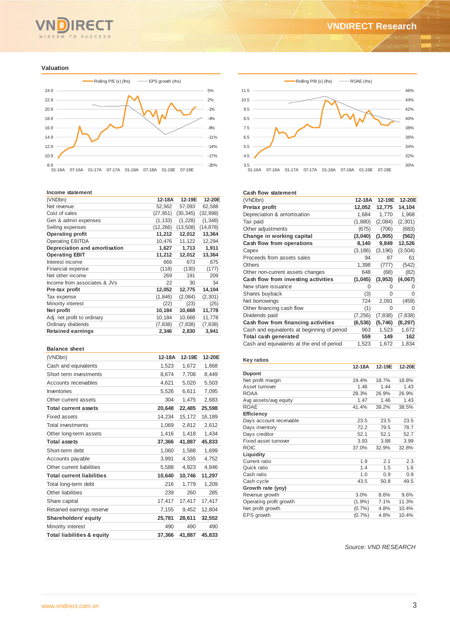# WISDOM TO SUCCESS

#### **Valuation**



#### **Income statement**

| (VNDbn)                       | 12-18A    | 12-19E    | 12-20E    |
|-------------------------------|-----------|-----------|-----------|
| Net revenue                   | 52,562    | 57,093    | 62,588    |
| Cost of sales                 | (27, 951) | (30, 345) | (32,998)  |
| Gen & admin expenses          | (1, 133)  | (1,228)   | (1, 348)  |
| Selling expenses              | (12, 266) | (13, 508) | (14, 878) |
| <b>Operating profit</b>       | 11,212    | 12,012    | 13,364    |
| <b>Operating EBITDA</b>       | 10,476    | 11,122    | 12,294    |
| Depreciation and amortisation | 1,627     | 1.713     | 1,911     |
| <b>Operating EBIT</b>         | 11,212    | 12,012    | 13,364    |
| Interest income               | 666       | 673       | 675       |
| <b>Financial expense</b>      | (118)     | (130)     | (177)     |
| Net other income              | 269       | 191       | 209       |
| Income from associates & JVs  | 22        | 30        | 34        |
| Pre-tax profit                | 12,052    | 12,775    | 14,104    |
| Tax expense                   | (1, 846)  | (2,084)   | (2,301)   |
| Minority interest             | (22)      | (23)      | (25)      |
| Net profit                    | 10,184    | 10,668    | 11,778    |
| Adj. net profit to ordinary   | 10,184    | 10,668    | 11,778    |
| Ordinary dividends            | (7, 838)  | (7, 838)  | (7,838)   |
| <b>Retained earnings</b>      | 2,346     | 2,830     | 3,941     |

#### **Balance sheet**

| (VNDbn)                               | 12-18A | 12-19E | 12-20E |
|---------------------------------------|--------|--------|--------|
| Cash and equivalents                  | 1,523  | 1,672  | 1,868  |
| Short term investments                | 8,674  | 7,708  | 8,449  |
| Accounts receivables                  | 4,621  | 5,020  | 5,503  |
| Inventories                           | 5,526  | 6,611  | 7,095  |
| Other current assets                  | 304    | 1,475  | 2,683  |
| <b>Total current assets</b>           | 20,648 | 22,485 | 25,598 |
| Fixed assets                          | 14,234 | 15,172 | 16.189 |
| <b>Total investments</b>              | 1,069  | 2,812  | 2,612  |
| Other long-term assets                | 1.416  | 1.418  | 1,434  |
| <b>Total assets</b>                   | 37,366 | 41,887 | 45,833 |
| Short-term debt                       | 1,060  | 1,588  | 1,699  |
| Accounts payable                      | 3,991  | 4,335  | 4,752  |
| Other current liabilities             | 5,588  | 4,823  | 4,846  |
| <b>Total current liabilities</b>      | 10,640 | 10,746 | 11,297 |
| Total long-term debt                  | 216    | 1,779  | 1,209  |
| Other liabilities                     | 239    | 260    | 285    |
| Share capital                         | 17,417 | 17,417 | 17,417 |
| Retained earnings reserve             | 7,155  | 9,452  | 12,804 |
| <b>Shareholders' equity</b>           | 25,781 | 28,611 | 32,552 |
| Minority interest                     | 490    | 490    | 490    |
| <b>Total liabilities &amp; equity</b> | 37,366 | 41,887 | 45,833 |



#### **Cash flow statement**

| (VNDbn)                                     | 12-18A   | 12-19E   | 12-20E   |
|---------------------------------------------|----------|----------|----------|
| Pretax profit                               | 12,052   | 12,775   | 14,104   |
| Depreciation & amortisation                 | 1,684    | 1,770    | 1,968    |
| Tax paid                                    | (1,880)  | (2,084)  | (2, 301) |
| Other adjustments                           | (675)    | (706)    | (683)    |
| Change in working capital                   | (3,040)  | (1, 905) | (562)    |
| Cash flow from operations                   | 8,140    | 9,849    | 12,526   |
| Capex                                       | (3, 186) | (3, 196) | (3,504)  |
| Proceeds from assets sales                  | 94       | 87       | 61       |
| <b>Others</b>                               | 1,398    | (777)    | (542)    |
| Other non-current assets changes            | 648      | (68)     | (82)     |
| Cash flow from investing activities         | (1,045)  | (3, 953) | (4,067)  |
| New share issuance                          | 0        | 0        | $\Omega$ |
| Shares buyback                              | (3)      | $\Omega$ | $\Omega$ |
| Net borrowings                              | 724      | 2,091    | (459)    |
| Other financing cash flow                   | (1)      | 0        | $\Omega$ |
| Dividends paid                              | (7, 256) | (7, 838) | (7,838)  |
| Cash flow from financing activities         | (6, 536) | (5,746)  | (8, 297) |
| Cash and equivalents at beginning of period | 963      | 1,523    | 1,672    |
| Total cash generated                        | 559      | 149      | 162      |
| Cash and equivalents at the end of period   | 1,523    | 1,672    | 1,834    |

## **Key ratios**

|                         | 12-18A    | 12-19E | 12-20E |
|-------------------------|-----------|--------|--------|
| <b>Dupont</b>           |           |        |        |
| Net profit margin       | 19.4%     | 18.7%  | 18.8%  |
| Asset turnover          | 1.46      | 1.44   | 1.43   |
| <b>ROAA</b>             | 28.3%     | 26.9%  | 26.9%  |
| Avg assets/avg equity   | 1.47      | 1.46   | 1.43   |
| <b>ROAE</b>             | 41.4%     | 39.2%  | 38.5%  |
| Efficiency              |           |        |        |
| Days account receivable | 23.5      | 23.5   | 23.5   |
| Days inventory          | 72.2      | 79.5   | 78.7   |
| Days creditor           | 52.1      | 52.1   | 52.7   |
| Fixed asset turnover    | 3.93      | 3.88   | 3.99   |
| <b>ROIC</b>             | 37.0%     | 32.9%  | 32.8%  |
| Liquidity               |           |        |        |
| Current ratio           | 1.9       | 2.1    | 2.3    |
| Quick ratio             | 1.4       | 1.5    | 1.6    |
| Cash ratio              | 1.0       | 0.9    | 0.9    |
| Cash cycle              | 43.5      | 50.8   | 49.5   |
| Growth rate (yoy)       |           |        |        |
| Revenue growth          | 3.0%      | 8.6%   | 9.6%   |
| Operating profit growth | $(1.9\%)$ | 7.1%   | 11.3%  |
| Net profit growth       | (0.7%     | 4.8%   | 10.4%  |
| EPS growth              | (0.7%     | 4.8%   | 10.4%  |
|                         |           |        |        |

*Source: VND RESEARCH*